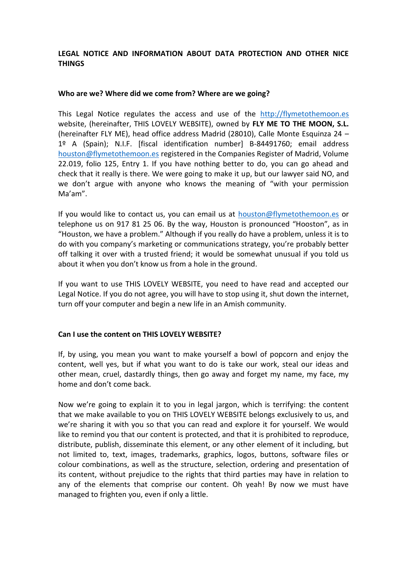# **LEGAL NOTICE AND INFORMATION ABOUT DATA PROTECTION AND OTHER NICE THINGS**

#### **Who are we? Where did we come from? Where are we going?**

This Legal Notice regulates the access and use of the [http://flymetothemoon.es](http://flymetothemoon.es/) website, (hereinafter, THIS LOVELY WEBSITE), owned by **FLY ME TO THE MOON, S.L.** (hereinafter FLY ME), head office address Madrid (28010), Calle Monte Esquinza 24 – 1º A (Spain); N.I.F. [fiscal identification number] B-84491760; email address [houston@flymetothemoon.es](mailto:houston@flymetothemoon.es) registered in the Companies Register of Madrid, Volume 22.019, folio 125, Entry 1. If you have nothing better to do, you can go ahead and check that it really is there. We were going to make it up, but our lawyer said NO, and we don't argue with anyone who knows the meaning of "with your permission Ma'am".

If you would like to contact us, you can email us at [houston@flymetothemoon.es](mailto:houston@flymetothemoon.es) or telephone us on 917 81 25 06. By the way, Houston is pronounced "Hooston", as in "Houston, we have a problem." Although if you really do have a problem, unless it is to do with you company's marketing or communications strategy, you're probably better off talking it over with a trusted friend; it would be somewhat unusual if you told us about it when you don't know us from a hole in the ground.

If you want to use THIS LOVELY WEBSITE, you need to have read and accepted our Legal Notice. If you do not agree, you will have to stop using it, shut down the internet, turn off your computer and begin a new life in an Amish community.

### **Can I use the content on THIS LOVELY WEBSITE?**

If, by using, you mean you want to make yourself a bowl of popcorn and enjoy the content, well yes, but if what you want to do is take our work, steal our ideas and other mean, cruel, dastardly things, then go away and forget my name, my face, my home and don't come back.

Now we're going to explain it to you in legal jargon, which is terrifying: the content that we make available to you on THIS LOVELY WEBSITE belongs exclusively to us, and we're sharing it with you so that you can read and explore it for yourself. We would like to remind you that our content is protected, and that it is prohibited to reproduce, distribute, publish, disseminate this element, or any other element of it including, but not limited to, text, images, trademarks, graphics, logos, buttons, software files or colour combinations, as well as the structure, selection, ordering and presentation of its content, without prejudice to the rights that third parties may have in relation to any of the elements that comprise our content. Oh yeah! By now we must have managed to frighten you, even if only a little.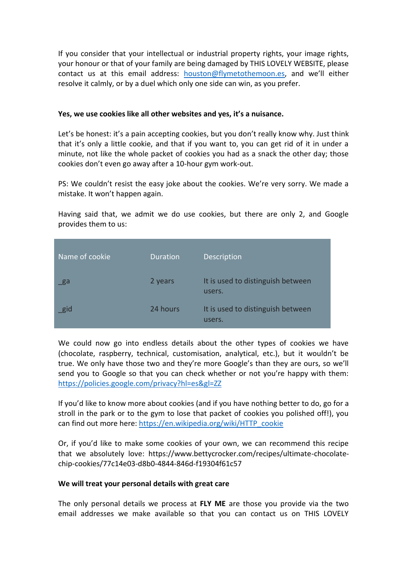If you consider that your intellectual or industrial property rights, your image rights, your honour or that of your family are being damaged by THIS LOVELY WEBSITE, please contact us at this email address: [houston@flymetothemoon.es](mailto:houston@flymetothemoon.es), and we'll either resolve it calmly, or by a duel which only one side can win, as you prefer.

### **Yes, we use cookies like all other websites and yes, it's a nuisance.**

Let's be honest: it's a pain accepting cookies, but you don't really know why. Just think that it's only a little cookie, and that if you want to, you can get rid of it in under a minute, not like the whole packet of cookies you had as a snack the other day; those cookies don't even go away after a 10-hour gym work-out.

PS: We couldn't resist the easy joke about the cookies. We're very sorry. We made a mistake. It won't happen again.

Having said that, we admit we do use cookies, but there are only 2, and Google provides them to us:

| Name of cookie | <b>Duration</b> | Description                                 |
|----------------|-----------------|---------------------------------------------|
| ga             | 2 years         | It is used to distinguish between<br>users. |
| gid            | 24 hours        | It is used to distinguish between<br>users. |

We could now go into endless details about the other types of cookies we have (chocolate, raspberry, technical, customisation, analytical, etc.), but it wouldn't be true. We only have those two and they're more Google's than they are ours, so we'll send you to Google so that you can check whether or not you're happy with them: [https://policies.google.com/privacy?hl=es&gl=ZZ](https://policies.google.com/privacy?hl=es&amp;gl=ZZ)

If you'd like to know more about cookies (and if you have nothing better to do, go for a stroll in the park or to the gym to lose that packet of cookies you polished off!), you can find out more here: [https://en.wikipedia.org/wiki/HTTP\\_cookie](https://en.wikipedia.org/wiki/HTTP_cookie)

Or, if you'd like to make some cookies of your own, we can recommend this recipe that we absolutely love: https://www.bettycrocker.com/recipes/ultimate-chocolatechip-cookies/77c14e03-d8b0-4844-846d-f19304f61c57

### **We will treat your personal details with great care**

The only personal details we process at **FLY ME** are those you provide via the two email addresses we make available so that you can contact us on THIS LOVELY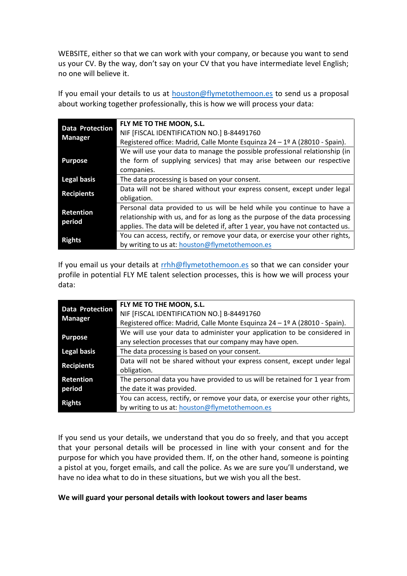WEBSITE, either so that we can work with your company, or because you want to send us your CV. By the way, don't say on your CV that you have intermediate level English; no one will believe it.

If you email your details to us at [houston@flymetothemoon.es](mailto:houston@flymetothemoon.es) to send us a proposal about working together professionally, this is how we will process your data:

| <b>Data Protection</b><br><b>Manager</b> | FLY ME TO THE MOON, S.L.<br>NIF [FISCAL IDENTIFICATION NO.] B-84491760<br>Registered office: Madrid, Calle Monte Esquinza 24 - 1º A (28010 - Spain).                                                                                    |
|------------------------------------------|-----------------------------------------------------------------------------------------------------------------------------------------------------------------------------------------------------------------------------------------|
| <b>Purpose</b>                           | We will use your data to manage the possible professional relationship (in<br>the form of supplying services) that may arise between our respective<br>companies.                                                                       |
| <b>Legal basis</b>                       | The data processing is based on your consent.                                                                                                                                                                                           |
| <b>Recipients</b>                        | Data will not be shared without your express consent, except under legal<br>obligation.                                                                                                                                                 |
| <b>Retention</b><br>period               | Personal data provided to us will be held while you continue to have a<br>relationship with us, and for as long as the purpose of the data processing<br>applies. The data will be deleted if, after 1 year, you have not contacted us. |
| <b>Rights</b>                            | You can access, rectify, or remove your data, or exercise your other rights,<br>by writing to us at: houston@flymetothemoon.es                                                                                                          |

If you email us your details at [rrhh@flymetothemoon.es](mailto:houston@flymetothemoon.es) so that we can consider your profile in potential FLY ME talent selection processes, this is how we will process your data:

| <b>Data Protection</b><br><b>Manager</b> | FLY ME TO THE MOON, S.L.                                                     |
|------------------------------------------|------------------------------------------------------------------------------|
|                                          | NIF [FISCAL IDENTIFICATION NO.] B-84491760                                   |
|                                          | Registered office: Madrid, Calle Monte Esquinza 24 - 1º A (28010 - Spain).   |
| <b>Purpose</b>                           | We will use your data to administer your application to be considered in     |
|                                          | any selection processes that our company may have open.                      |
| <b>Legal basis</b>                       | The data processing is based on your consent.                                |
| <b>Recipients</b>                        | Data will not be shared without your express consent, except under legal     |
|                                          | obligation.                                                                  |
| <b>Retention</b>                         | The personal data you have provided to us will be retained for 1 year from   |
| period                                   | the date it was provided.                                                    |
| <b>Rights</b>                            | You can access, rectify, or remove your data, or exercise your other rights, |
|                                          | by writing to us at: houston@flymetothemoon.es                               |

If you send us your details, we understand that you do so freely, and that you accept that your personal details will be processed in line with your consent and for the purpose for which you have provided them. If, on the other hand, someone is pointing a pistol at you, forget emails, and call the police. As we are sure you'll understand, we have no idea what to do in these situations, but we wish you all the best.

### **We will guard your personal details with lookout towers and laser beams**